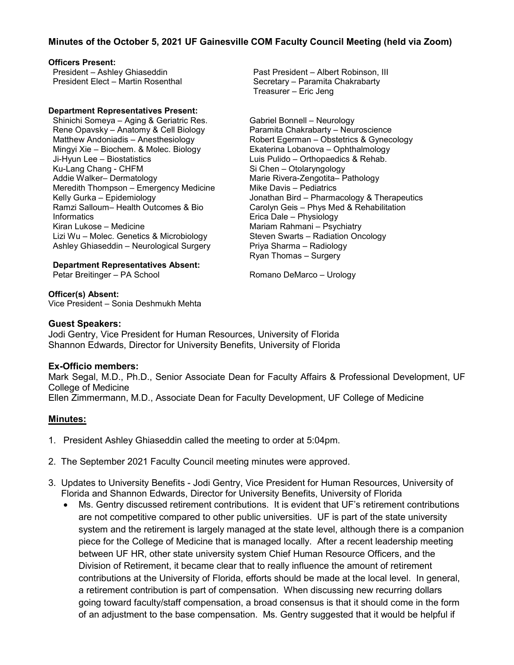## **Minutes of the October 5, 2021 UF Gainesville COM Faculty Council Meeting (held via Zoom)**

#### **Officers Present:**

President – Ashley Ghiaseddin President Elect – Martin Rosenthal

#### **Department Representatives Present:**

Shinichi Someya – Aging & Geriatric Res. Rene Opavsky – Anatomy & Cell Biology Matthew Andoniadis – Anesthesiology Mingyi Xie – Biochem. & Molec. Biology Ji-Hyun Lee – Biostatistics Ku-Lang Chang - CHFM Addie Walker– Dermatology Meredith Thompson – Emergency Medicine Kelly Gurka – Epidemiology Ramzi Salloum– Health Outcomes & Bio **Informatics** Kiran Lukose – Medicine Lizi Wu – Molec. Genetics & Microbiology Ashley Ghiaseddin – Neurological Surgery

**Department Representatives Absent:**

Petar Breitinger – PA School

**Officer(s) Absent:** Vice President – Sonia Deshmukh Mehta Past President – Albert Robinson, III Secretary – Paramita Chakrabarty Treasurer – Eric Jeng

Gabriel Bonnell – Neurology Paramita Chakrabarty – Neuroscience Robert Egerman – Obstetrics & Gynecology Ekaterina Lobanova – Ophthalmology Luis Pulido – Orthopaedics & Rehab. Si Chen – Otolaryngology Marie Rivera-Zengotita– Pathology Mike Davis – Pediatrics Jonathan Bird – Pharmacology & Therapeutics Carolyn Geis – Phys Med & Rehabilitation Erica Dale – Physiology Mariam Rahmani – Psychiatry Steven Swarts – Radiation Oncology Priya Sharma – Radiology Ryan Thomas – Surgery

Romano DeMarco – Urology

#### **Guest Speakers:**

Jodi Gentry, Vice President for Human Resources, University of Florida Shannon Edwards, Director for University Benefits, University of Florida

## **Ex-Officio members:**

Mark Segal, M.D., Ph.D., Senior Associate Dean for Faculty Affairs & Professional Development, UF College of Medicine Ellen Zimmermann, M.D., Associate Dean for Faculty Development, UF College of Medicine

## **Minutes:**

- 1. President Ashley Ghiaseddin called the meeting to order at 5:04pm.
- 2. The September 2021 Faculty Council meeting minutes were approved.
- 3. Updates to University Benefits Jodi Gentry, Vice President for Human Resources, University of Florida and Shannon Edwards, Director for University Benefits, University of Florida
	- Ms. Gentry discussed retirement contributions. It is evident that UF's retirement contributions are not competitive compared to other public universities. UF is part of the state university system and the retirement is largely managed at the state level, although there is a companion piece for the College of Medicine that is managed locally. After a recent leadership meeting between UF HR, other state university system Chief Human Resource Officers, and the Division of Retirement, it became clear that to really influence the amount of retirement contributions at the University of Florida, efforts should be made at the local level. In general, a retirement contribution is part of compensation. When discussing new recurring dollars going toward faculty/staff compensation, a broad consensus is that it should come in the form of an adjustment to the base compensation. Ms. Gentry suggested that it would be helpful if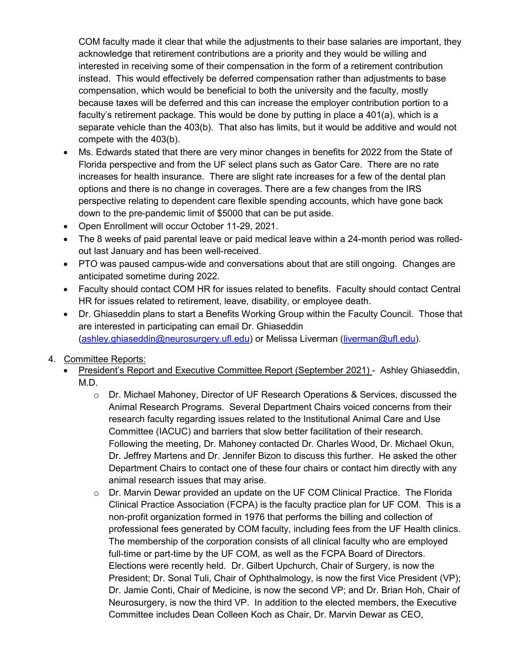COM faculty made it clear that while the adjustments to their base salaries are important, they acknowledge that retirement contributions are a priority and they would be willing and interested in receiving some of their compensation in the form of a retirement contribution instead. This would effectively be deferred compensation rather than adjustments to base compensation, which would be beneficial to both the university and the faculty, mostly because taxes will be deferred and this can increase the employer contribution portion to a faculty's retirement package. This would be done by putting in place a 401(a), which is a separate vehicle than the 403(b). That also has limits, but it would be additive and would not compete with the 403(b).

- Ms. Edwards stated that there are very minor changes in benefits for 2022 from the State of Florida perspective and from the UF select plans such as Gator Care. There are no rate increases for health insurance. There are slight rate increases for a few of the dental plan options and there is no change in coverages. There are a few changes from the IRS perspective relating to dependent care flexible spending accounts, which have gone back down to the pre-pandemic limit of \$5000 that can be put aside.
- Open Enrollment will occur October 11-29, 2021.
- The 8 weeks of paid parental leave or paid medical leave within a 24-month period was rolledout last January and has been well-received.
- PTO was paused campus-wide and conversations about that are still ongoing. Changes are anticipated sometime during 2022.
- Faculty should contact COM HR for issues related to benefits. Faculty should contact Central HR for issues related to retirement, leave, disability, or employee death.
- Dr. Ghiaseddin plans to start a Benefits Working Group within the Faculty Council. Those that are interested in participating can email Dr. Ghiaseddin [\(ashley.ghiaseddin@neurosurgery.ufl.edu\)](mailto:ashley.ghiaseddin@neurosurgery.ufl.edu) or Melissa Liverman [\(liverman@ufl.edu\)](mailto:liverman@ufl.edu).
- 4. Committee Reports:
	- President's Report and Executive Committee Report (September 2021) Ashley Ghiaseddin, M.D.
		- o Dr. Michael Mahoney, Director of UF Research Operations & Services, discussed the Animal Research Programs. Several Department Chairs voiced concerns from their research faculty regarding issues related to the Institutional Animal Care and Use Committee (IACUC) and barriers that slow better facilitation of their research. Following the meeting, Dr. Mahoney contacted Dr. Charles Wood, Dr. Michael Okun, Dr. Jeffrey Martens and Dr. Jennifer Bizon to discuss this further. He asked the other Department Chairs to contact one of these four chairs or contact him directly with any animal research issues that may arise.
		- $\circ$  Dr. Marvin Dewar provided an update on the UF COM Clinical Practice. The Florida Clinical Practice Association (FCPA) is the faculty practice plan for UF COM. This is a non-profit organization formed in 1976 that performs the billing and collection of professional fees generated by COM faculty, including fees from the UF Health clinics. The membership of the corporation consists of all clinical faculty who are employed full-time or part-time by the UF COM, as well as the FCPA Board of Directors. Elections were recently held. Dr. Gilbert Upchurch, Chair of Surgery, is now the President; Dr. Sonal Tuli, Chair of Ophthalmology, is now the first Vice President (VP); Dr. Jamie Conti, Chair of Medicine, is now the second VP; and Dr. Brian Hoh, Chair of Neurosurgery, is now the third VP. In addition to the elected members, the Executive Committee includes Dean Colleen Koch as Chair, Dr. Marvin Dewar as CEO,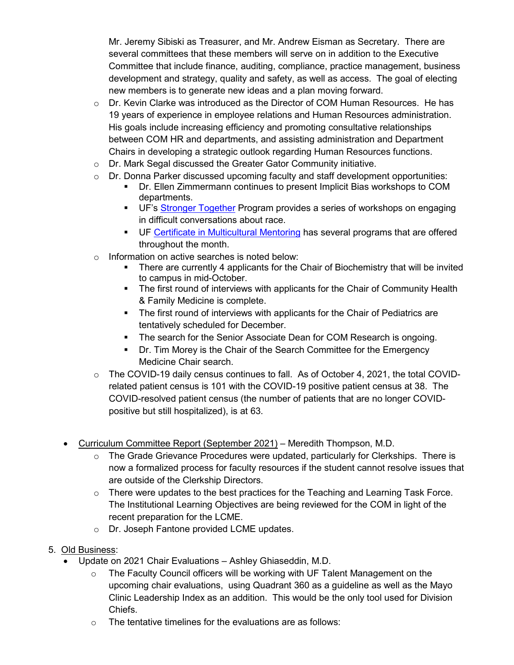Mr. Jeremy Sibiski as Treasurer, and Mr. Andrew Eisman as Secretary. There are several committees that these members will serve on in addition to the Executive Committee that include finance, auditing, compliance, practice management, business development and strategy, quality and safety, as well as access. The goal of electing new members is to generate new ideas and a plan moving forward.

- $\circ$  Dr. Kevin Clarke was introduced as the Director of COM Human Resources. He has 19 years of experience in employee relations and Human Resources administration. His goals include increasing efficiency and promoting consultative relationships between COM HR and departments, and assisting administration and Department Chairs in developing a strategic outlook regarding Human Resources functions.
- o Dr. Mark Segal discussed the Greater Gator Community initiative.
- o Dr. Donna Parker discussed upcoming faculty and staff development opportunities:
	- Dr. Ellen Zimmermann continues to present Implicit Bias workshops to COM departments.
	- UF's [Stronger Together](https://learn-and-grow.hr.ufl.edu/courses-registration/stronger-together/) Program provides a series of workshops on engaging in difficult conversations about race.
	- UF [Certificate in Multicultural Mentoring](https://cdo.ufl.edu/strategy--initiatives/uf-certificate-in-multicultural-mentoring-/) has several programs that are offered throughout the month.
- o Information on active searches is noted below:
	- There are currently 4 applicants for the Chair of Biochemistry that will be invited to campus in mid-October.
	- The first round of interviews with applicants for the Chair of Community Health & Family Medicine is complete.
	- The first round of interviews with applicants for the Chair of Pediatrics are tentatively scheduled for December.
	- The search for the Senior Associate Dean for COM Research is ongoing.
	- Dr. Tim Morey is the Chair of the Search Committee for the Emergency Medicine Chair search.
- o The COVID-19 daily census continues to fall. As of October 4, 2021, the total COVIDrelated patient census is 101 with the COVID-19 positive patient census at 38. The COVID-resolved patient census (the number of patients that are no longer COVIDpositive but still hospitalized), is at 63.
- Curriculum Committee Report (September 2021) Meredith Thompson, M.D.
	- $\circ$  The Grade Grievance Procedures were updated, particularly for Clerkships. There is now a formalized process for faculty resources if the student cannot resolve issues that are outside of the Clerkship Directors.
	- $\circ$  There were updates to the best practices for the Teaching and Learning Task Force. The Institutional Learning Objectives are being reviewed for the COM in light of the recent preparation for the LCME.
	- o Dr. Joseph Fantone provided LCME updates.
- 5. Old Business:
	- Update on 2021 Chair Evaluations Ashley Ghiaseddin, M.D.
		- The Faculty Council officers will be working with UF Talent Management on the upcoming chair evaluations, using Quadrant 360 as a guideline as well as the Mayo Clinic Leadership Index as an addition. This would be the only tool used for Division Chiefs.
		- o The tentative timelines for the evaluations are as follows: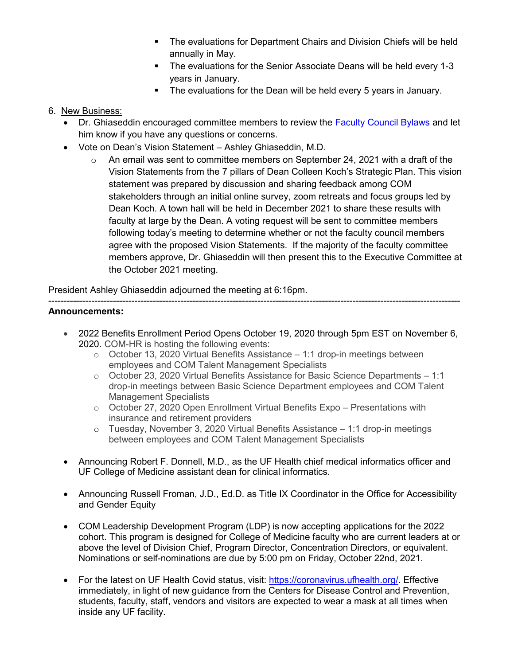- **The evaluations for Department Chairs and Division Chiefs will be held** annually in May.
- The evaluations for the Senior Associate Deans will be held every 1-3 years in January.
- **The evaluations for the Dean will be held every 5 years in January.**

# 6. New Business:

- Dr. Ghiaseddin encouraged committee members to review the [Faculty Council Bylaws](https://facultycouncil.med.ufl.edu/wordpress/files/2021/02/FC-Bylaws-11-3-20.pdf) and let him know if you have any questions or concerns.
- Vote on Dean's Vision Statement Ashley Ghiaseddin, M.D.
	- $\circ$  An email was sent to committee members on September 24, 2021 with a draft of the Vision Statements from the 7 pillars of Dean Colleen Koch's Strategic Plan. This vision statement was prepared by discussion and sharing feedback among COM stakeholders through an initial online survey, zoom retreats and focus groups led by Dean Koch. A town hall will be held in December 2021 to share these results with faculty at large by the Dean. A voting request will be sent to committee members following today's meeting to determine whether or not the faculty council members agree with the proposed Vision Statements. If the majority of the faculty committee members approve, Dr. Ghiaseddin will then present this to the Executive Committee at the October 2021 meeting.

President Ashley Ghiaseddin adjourned the meeting at 6:16pm.

### -------------------------------------------------------------------------------------------------------------------------------------- **Announcements:**

- 2022 Benefits Enrollment Period Opens October 19, 2020 through 5pm EST on November 6, 2020. COM-HR is hosting the following events:
	- $\circ$  October 13, 2020 Virtual Benefits Assistance 1:1 drop-in meetings between employees and COM Talent Management Specialists
	- o October 23, 2020 Virtual Benefits Assistance for Basic Science Departments 1:1 drop-in meetings between Basic Science Department employees and COM Talent Management Specialists
	- o October 27, 2020 Open Enrollment Virtual Benefits Expo Presentations with insurance and retirement providers
	- o Tuesday, November 3, 2020 Virtual Benefits Assistance 1:1 drop-in meetings between employees and COM Talent Management Specialists
- Announcing Robert F. Donnell, M.D., as the UF Health chief medical informatics officer and UF College of Medicine assistant dean for clinical informatics.
- Announcing Russell Froman, J.D., Ed.D. as Title IX Coordinator in the Office for Accessibility and Gender Equity
- COM Leadership Development Program (LDP) is now accepting applications for the 2022 cohort. This program is designed for College of Medicine faculty who are current leaders at or above the level of Division Chief, Program Director, Concentration Directors, or equivalent. Nominations or self-nominations are due by 5:00 pm on Friday, October 22nd, 2021.
- For the latest on UF Health Covid status, visit: [https://coronavirus.ufhealth.org/.](https://coronavirus.ufhealth.org/) Effective immediately, in light of new guidance from the Centers for Disease Control and Prevention, students, faculty, staff, vendors and visitors are expected to wear a mask at all times when inside any UF facility.